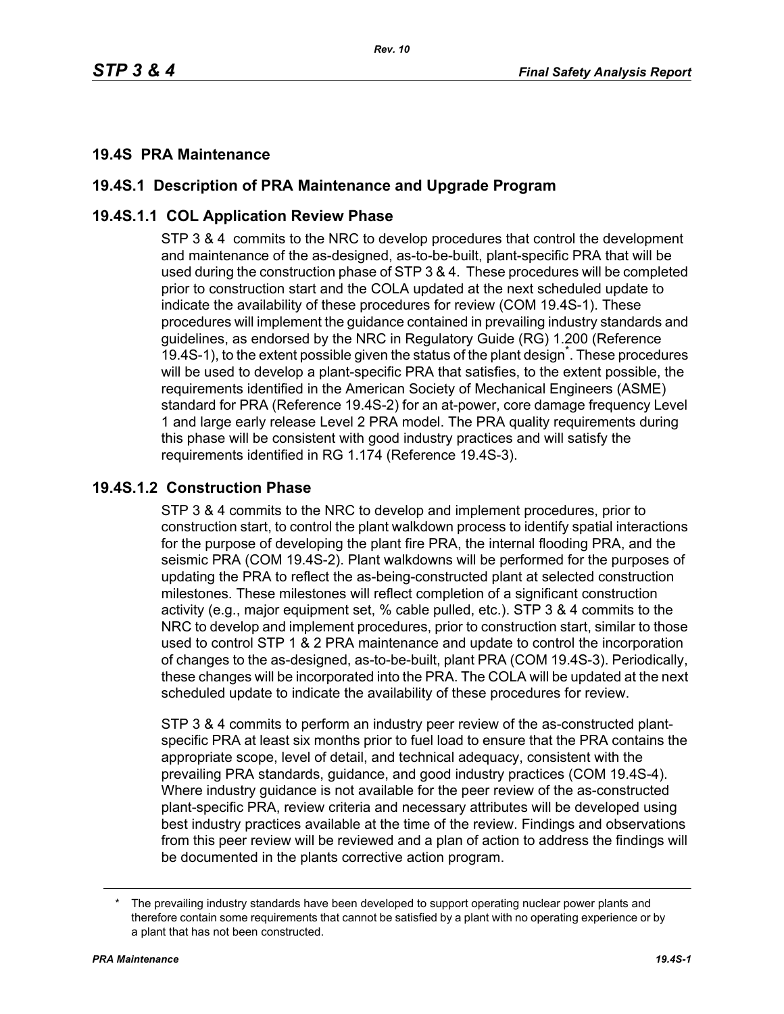# **19.4S PRA Maintenance**

# **19.4S.1 Description of PRA Maintenance and Upgrade Program**

# **19.4S.1.1 COL Application Review Phase**

STP 3 & 4 commits to the NRC to develop procedures that control the development and maintenance of the as-designed, as-to-be-built, plant-specific PRA that will be used during the construction phase of STP 3 & 4. These procedures will be completed prior to construction start and the COLA updated at the next scheduled update to indicate the availability of these procedures for review (COM 19.4S-1). These procedures will implement the guidance contained in prevailing industry standards and guidelines, as endorsed by the NRC in Regulatory Guide (RG) 1.200 (Reference 19.4S-1), to the extent possible given the status of the plant design<sup>\*</sup>. These procedures will be used to develop a plant-specific PRA that satisfies, to the extent possible, the requirements identified in the American Society of Mechanical Engineers (ASME) standard for PRA (Reference 19.4S-2) for an at-power, core damage frequency Level 1 and large early release Level 2 PRA model. The PRA quality requirements during this phase will be consistent with good industry practices and will satisfy the requirements identified in RG 1.174 (Reference 19.4S-3).

#### **19.4S.1.2 Construction Phase**

STP 3 & 4 commits to the NRC to develop and implement procedures, prior to construction start, to control the plant walkdown process to identify spatial interactions for the purpose of developing the plant fire PRA, the internal flooding PRA, and the seismic PRA (COM 19.4S-2). Plant walkdowns will be performed for the purposes of updating the PRA to reflect the as-being-constructed plant at selected construction milestones. These milestones will reflect completion of a significant construction activity (e.g., major equipment set, % cable pulled, etc.). STP 3 & 4 commits to the NRC to develop and implement procedures, prior to construction start, similar to those used to control STP 1 & 2 PRA maintenance and update to control the incorporation of changes to the as-designed, as-to-be-built, plant PRA (COM 19.4S-3). Periodically, these changes will be incorporated into the PRA. The COLA will be updated at the next scheduled update to indicate the availability of these procedures for review.

STP 3 & 4 commits to perform an industry peer review of the as-constructed plantspecific PRA at least six months prior to fuel load to ensure that the PRA contains the appropriate scope, level of detail, and technical adequacy, consistent with the prevailing PRA standards, guidance, and good industry practices (COM 19.4S-4). Where industry guidance is not available for the peer review of the as-constructed plant-specific PRA, review criteria and necessary attributes will be developed using best industry practices available at the time of the review. Findings and observations from this peer review will be reviewed and a plan of action to address the findings will be documented in the plants corrective action program.

The prevailing industry standards have been developed to support operating nuclear power plants and therefore contain some requirements that cannot be satisfied by a plant with no operating experience or by a plant that has not been constructed.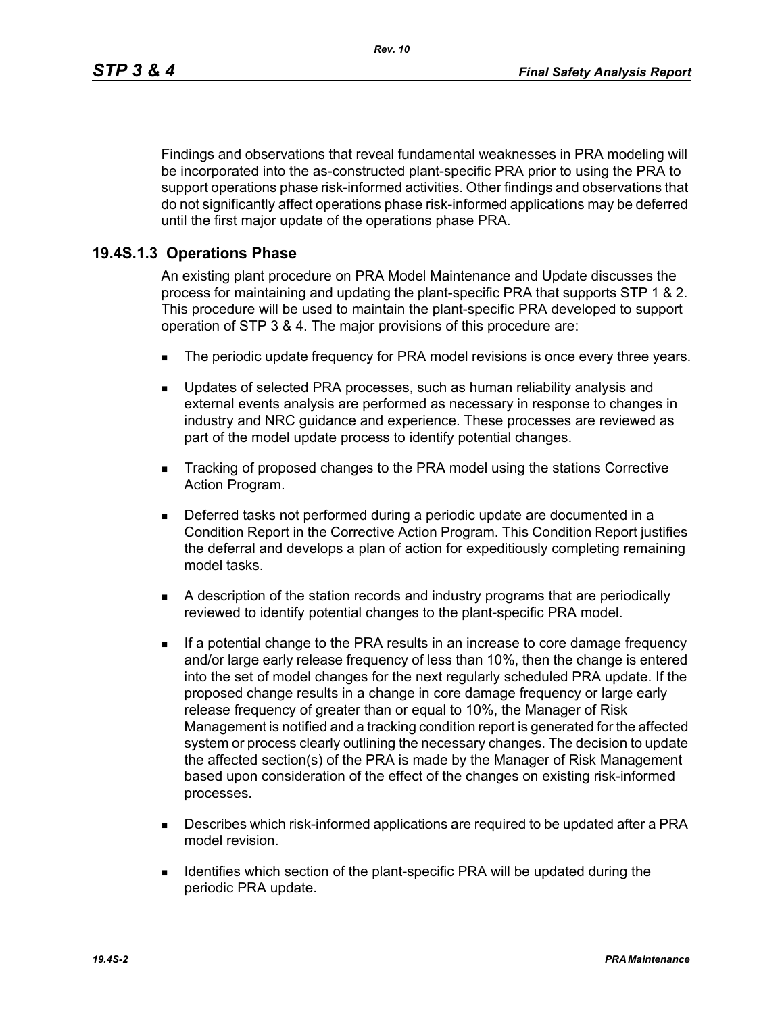Findings and observations that reveal fundamental weaknesses in PRA modeling will be incorporated into the as-constructed plant-specific PRA prior to using the PRA to support operations phase risk-informed activities. Other findings and observations that do not significantly affect operations phase risk-informed applications may be deferred until the first major update of the operations phase PRA.

## **19.4S.1.3 Operations Phase**

An existing plant procedure on PRA Model Maintenance and Update discusses the process for maintaining and updating the plant-specific PRA that supports STP 1 & 2. This procedure will be used to maintain the plant-specific PRA developed to support operation of STP 3 & 4. The major provisions of this procedure are:

- The periodic update frequency for PRA model revisions is once every three years.
- **Updates of selected PRA processes, such as human reliability analysis and** external events analysis are performed as necessary in response to changes in industry and NRC guidance and experience. These processes are reviewed as part of the model update process to identify potential changes.
- Tracking of proposed changes to the PRA model using the stations Corrective Action Program.
- Deferred tasks not performed during a periodic update are documented in a Condition Report in the Corrective Action Program. This Condition Report justifies the deferral and develops a plan of action for expeditiously completing remaining model tasks.
- A description of the station records and industry programs that are periodically reviewed to identify potential changes to the plant-specific PRA model.
- **If a potential change to the PRA results in an increase to core damage frequency** and/or large early release frequency of less than 10%, then the change is entered into the set of model changes for the next regularly scheduled PRA update. If the proposed change results in a change in core damage frequency or large early release frequency of greater than or equal to 10%, the Manager of Risk Management is notified and a tracking condition report is generated for the affected system or process clearly outlining the necessary changes. The decision to update the affected section(s) of the PRA is made by the Manager of Risk Management based upon consideration of the effect of the changes on existing risk-informed processes.
- **Describes which risk-informed applications are required to be updated after a PRA** model revision.
- **IDENTIFIELD IDENTIFIELD** Section of the plant-specific PRA will be updated during the periodic PRA update.